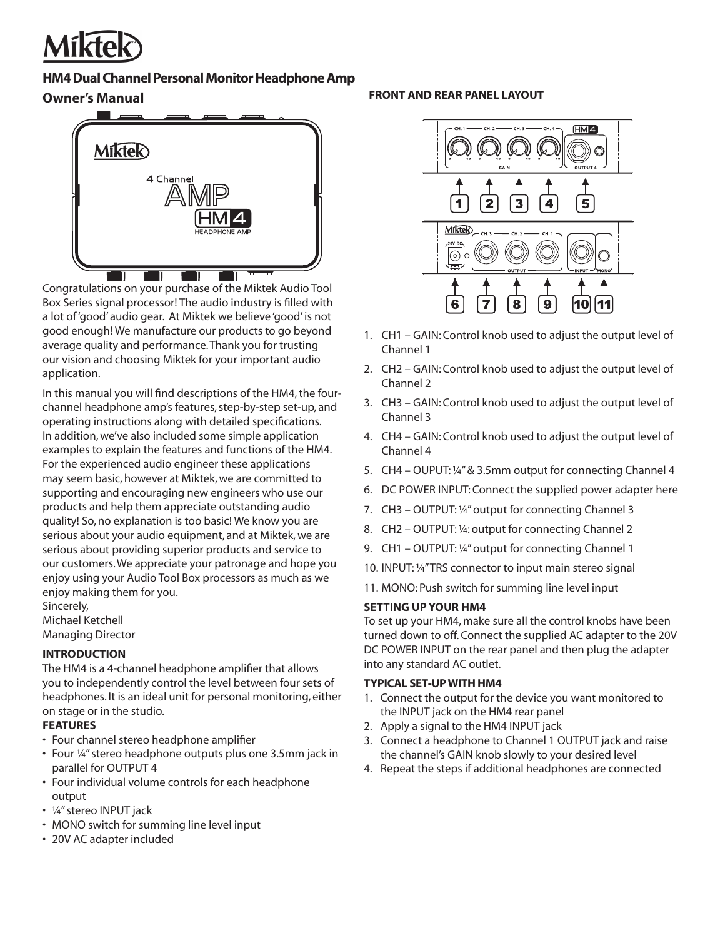

### **HM4 Dual Channel Personal Monitor Headphone Amp**

## **Owner's Manual**



Congratulations on your purchase of the Miktek Audio Tool Box Series signal processor! The audio industry is filled with a lot of 'good' audio gear. At Miktek we believe 'good' is not good enough! We manufacture our products to go beyond average quality and performance. Thank you for trusting our vision and choosing Miktek for your important audio application.

In this manual you will find descriptions of the HM4, the fourchannel headphone amp's features, step-by-step set-up, and operating instructions along with detailed specifications. In addition, we've also included some simple application examples to explain the features and functions of the HM4. For the experienced audio engineer these applications may seem basic, however at Miktek, we are committed to supporting and encouraging new engineers who use our products and help them appreciate outstanding audio quality! So, no explanation is too basic! We know you are serious about your audio equipment, and at Miktek, we are serious about providing superior products and service to our customers. We appreciate your patronage and hope you enjoy using your Audio Tool Box processors as much as we enjoy making them for you.

Sincerely, Michael Ketchell Managing Director

#### **INTRODUCTION**

The HM4 is a 4-channel headphone amplifier that allows you to independently control the level between four sets of headphones. It is an ideal unit for personal monitoring, either on stage or in the studio.

#### **FEATURES**

- Four channel stereo headphone amplifier
- Four ¼" stereo headphone outputs plus one 3.5mm jack in parallel for OUTPUT 4
- Four individual volume controls for each headphone output
- ¼" stereo INPUT jack
- MONO switch for summing line level input
- 20V AC adapter included

# **FRONT AND REAR PANEL LAYOUT**



- 1. CH1 GAIN: Control knob used to adjust the output level of Channel 1
- 2. CH2 GAIN: Control knob used to adjust the output level of Channel 2
- 3. CH3 GAIN: Control knob used to adjust the output level of Channel 3
- 4. CH4 GAIN: Control knob used to adjust the output level of Channel 4
- 5. CH4 OUPUT: ¼" & 3.5mm output for connecting Channel 4
- 6. DC POWER INPUT: Connect the supplied power adapter here
- 7. CH3 OUTPUT: ¼" output for connecting Channel 3
- 8. CH2 OUTPUT: ¼: output for connecting Channel 2
- 9. CH1 OUTPUT: ¼" output for connecting Channel 1
- 10. INPUT: ¼" TRS connector to input main stereo signal
- 11. MONO: Push switch for summing line level input

### **SETTING UP YOUR HM4**

To set up your HM4, make sure all the control knobs have been turned down to off. Connect the supplied AC adapter to the 20V DC POWER INPUT on the rear panel and then plug the adapter into any standard AC outlet.

### **TYPICAL SET-UP WITH HM4**

- 1. Connect the output for the device you want monitored to the INPUT jack on the HM4 rear panel
- 2. Apply a signal to the HM4 INPUT jack
- 3. Connect a headphone to Channel 1 OUTPUT jack and raise the channel's GAIN knob slowly to your desired level
- 4. Repeat the steps if additional headphones are connected